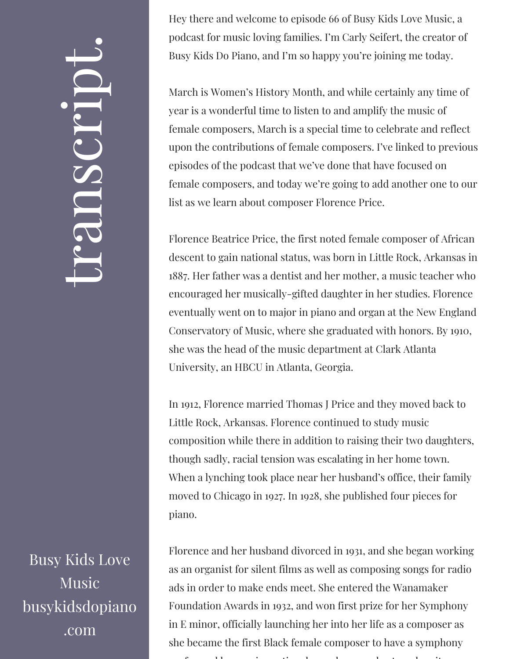## $\leftarrow$ ra<br>S n $\boldsymbol{C}$  $\bigcup$ r $\bullet$   $\overline{\phantom{a}}$  $\boxed{\phantom{1}}$  $\overline{\phantom{a}}$  $\bullet$

Busy Kids Love Music busykidsdopiano .com

Hey there and welcome to episode 66 of Busy Kids Love Music, a podcast for music loving families. I'm Carly Seifert, the creator of Busy Kids Do Piano, and I'm so happy you're joining me today.

March is Women's History Month, and while certainly any time of year is a wonderful time to listen to and amplify the music of female composers, March is a special time to celebrate and reflect upon the contributions of female composers. I've linked to previous episodes of the podcast that we've done that have focused on female composers, and today we're going to add another one to our list as we learn about composer Florence Price.

Florence Beatrice Price, the first noted female composer of African descent to gain national status, was born in Little Rock, Arkansas in 1887. Her father was a dentist and her mother, a music teacher who encouraged her musically-gifted daughter in her studies. Florence eventually went on to major in piano and organ at the New England Conservatory of Music, where she graduated with honors. By 1910, she was the head of the music department at Clark Atlanta University, an HBCU in Atlanta, Georgia.

In 1912, Florence married Thomas J Price and they moved back to Little Rock, Arkansas. Florence continued to study music composition while there in addition to raising their two daughters, though sadly, racial tension was escalating in her home town. When a lynching took place near her husband's office, their family moved to Chicago in 1927. In 1928, she published four pieces for piano.

Florence and her husband divorced in 1931, and she began working as an organist for silent films as well as composing songs for radio ads in order to make ends meet. She entered the Wanamaker Foundation Awards in 1932, and won first prize for her Symphony in E minor, officially launching her into her life as a composer as she became the first Black female composer to have a symphony f 11 ti l 1 ti l h ti